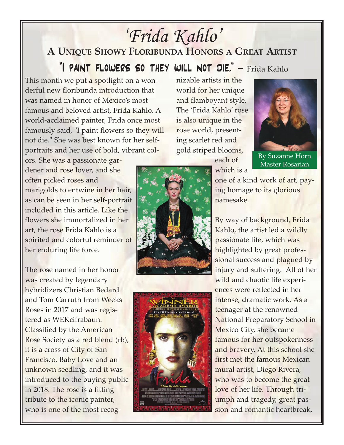## *'Frida Kahlo'*

## **A UNIQUE SHOWY FLORIBUNDA HONORS A GREAT ARTIST**

"I paint flowers so they will not die." *–* Frida Kahlo

This month we put a spotlight on a wonderful new floribunda introduction that was named in honor of Mexico's most famous and beloved artist, Frida Kahlo. A world-acclaimed painter, Frida once most famously said, "I paint flowers so they will not die." She was best known for her selfportraits and her use of bold, vibrant col-

ors. She was a passionate gardener and rose lover, and she often picked roses and marigolds to entwine in her hair, as can be seen in her self-portrait included in this article. Like the flowers she immortalized in her art, the rose Frida Kahlo is a spirited and colorful reminder of her enduring life force.

The rose named in her honor was created by legendary hybridizers Christian Bedard and Tom Carruth from Weeks Roses in 2017 and was registered as WEKcifrabaun. Classified by the American Rose Society as a red blend (rb), it is a cross of City of San Francisco, Baby Love and an unknown seedling, and it was introduced to the buying public in 2018. The rose is a fitting tribute to the iconic painter, who is one of the most recog-

nizable artists in the world for her unique and flamboyant style. The 'Frida Kahlo' rose is also unique in the rose world, presenting scarlet red and gold striped blooms,



Master Rosarian

each of which is a

one of a kind work of art, paying homage to its glorious namesake.

By way of background, Frida Kahlo, the artist led a wildly passionate life, which was highlighted by great professional success and plagued by injury and suffering. All of her wild and chaotic life experiences were reflected in her intense, dramatic work. As a teenager at the renowned National Preparatory School in Mexico City, she became famous for her outspokenness and bravery. At this school she first met the famous Mexican mural artist, Diego Rivera, who was to become the great love of her life. Through triumph and tragedy, great passion and romantic heartbreak,



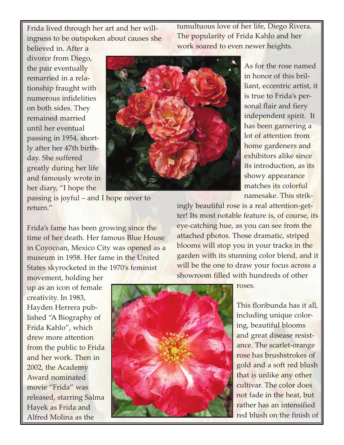Frida lived through her art and her willingness to be outspoken about causes she tumultuous love of her life, Diego Rivera. The popularity of Frida Kahlo and her work soared to even newer heights.

believed in. After a divorce from Diego, the pair eventually remarried in a relationship fraught with numerous infidelities on both sides. They remained married until her eventual passing in 1954, shortly after her 47th birthday. She suffered greatly during her life and famously wrote in her diary, "I hope the



As for the rose named in honor of this brilliant, eccentric artist, it is true to Frida's personal flair and fiery independent spirit. It has been garnering a lot of attention from home gardeners and exhibitors alike since its introduction, as its showy appearance matches its colorful namesake. This strik-

passing is joyful – and I hope never to return."

Frida's fame has been growing since the time of her death. Her famous Blue House in Coyocoan, Mexico City was opened as a museum in 1958. Her fame in the United States skyrocketed in the 1970's feminist

ingly beautiful rose is a real attention-getter! Its most notable feature is, of course, its eye-catching hue, as you can see from the attached photos. Those dramatic, striped blooms will stop you in your tracks in the garden with its stunning color blend, and it will be the one to draw your focus across a showroom filled with hundreds of other





roses.

This floribunda has it all, including unique coloring, beautiful blooms and great disease resistance. The scarlet-orange rose has brushstrokes of gold and a soft red blush that is unlike any other cultivar. The color does not fade in the heat, but rather has an intensified red blush on the finish of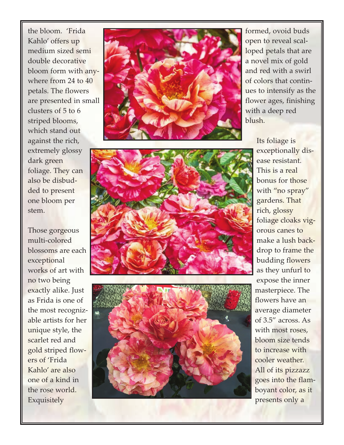the bloom. 'Frida Kahlo' offers up medium sized semi double decorative bloom form with anywhere from 24 to 40 petals. The flowers are presented in small clusters of 5 to 6 striped blooms, which stand out against the rich, extremely glossy dark green foliage. They can also be disbudded to present one bloom per stem.

Those gorgeous multi-colored blossoms are each exceptional works of art with no two being exactly alike. Just as Frida is one of the most recognizable artists for her unique style, the scarlet red and gold striped flowers of 'Frida Kahlo' are also one of a kind in the rose world. Exquisitely



formed, ovoid buds open to reveal scalloped petals that are a novel mix of gold and red with a swirl of colors that continues to intensify as the flower ages, finishing with a deep red blush.

> Its foliage is exceptionally disease resistant. This is a real bonus for those with "no spray" gardens. That rich, glossy foliage cloaks vigorous canes to make a lush backdrop to frame the budding flowers as they unfurl to expose the inner masterpiece. The flowers have an average diameter of 3.5" across. As with most roses, bloom size tends to increase with cooler weather. All of its pizzazz goes into the flamboyant color, as it presents only a